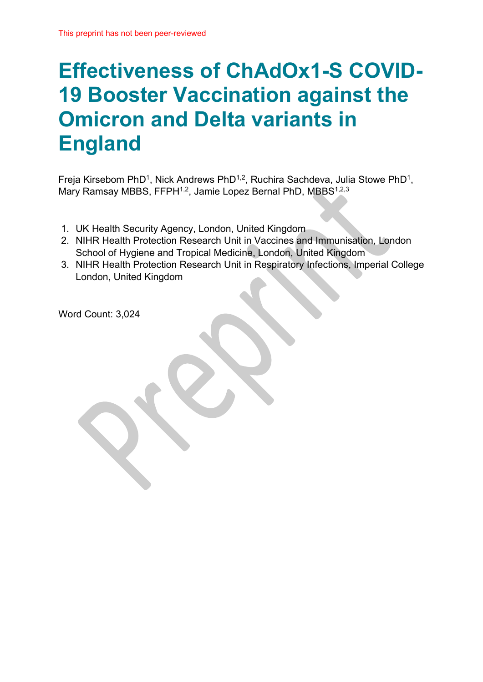# **Effectiveness of ChAdOx1-S COVID-19 Booster Vaccination against the Omicron and Delta variants in England**

Freja Kirsebom PhD1, Nick Andrews PhD1,2, Ruchira Sachdeva, Julia Stowe PhD1, Mary Ramsay MBBS, FFPH<sup>1,2</sup>, Jamie Lopez Bernal PhD, MBBS<sup>1,2,3</sup>

- 1. UK Health Security Agency, London, United Kingdom
- 2. NIHR Health Protection Research Unit in Vaccines and Immunisation, London School of Hygiene and Tropical Medicine, London, United Kingdom
- 3. NIHR Health Protection Research Unit in Respiratory Infections, Imperial College London, United Kingdom

Word Count: 3,024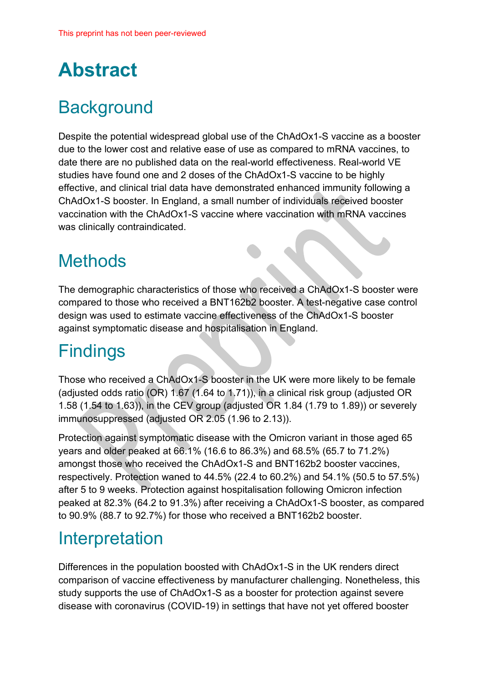# **Abstract**

## **Background**

Despite the potential widespread global use of the ChAdOx1-S vaccine as a booster due to the lower cost and relative ease of use as compared to mRNA vaccines, to date there are no published data on the real-world effectiveness. Real-world VE studies have found one and 2 doses of the ChAdOx1-S vaccine to be highly effective, and clinical trial data have demonstrated enhanced immunity following a ChAdOx1-S booster. In England, a small number of individuals received booster vaccination with the ChAdOx1-S vaccine where vaccination with mRNA vaccines was clinically contraindicated.

## **Methods**

The demographic characteristics of those who received a ChAdOx1-S booster were compared to those who received a BNT162b2 booster. A test-negative case control design was used to estimate vaccine effectiveness of the ChAdOx1-S booster against symptomatic disease and hospitalisation in England.

### **Findings**

Those who received a ChAdOx1-S booster in the UK were more likely to be female (adjusted odds ratio (OR) 1.67 (1.64 to 1.71)), in a clinical risk group (adjusted OR 1.58 (1.54 to 1.63)), in the CEV group (adjusted OR 1.84 (1.79 to 1.89)) or severely immunosuppressed (adjusted OR 2.05 (1.96 to 2.13)).

Protection against symptomatic disease with the Omicron variant in those aged 65 years and older peaked at 66.1% (16.6 to 86.3%) and 68.5% (65.7 to 71.2%) amongst those who received the ChAdOx1-S and BNT162b2 booster vaccines, respectively. Protection waned to 44.5% (22.4 to 60.2%) and 54.1% (50.5 to 57.5%) after 5 to 9 weeks. Protection against hospitalisation following Omicron infection peaked at 82.3% (64.2 to 91.3%) after receiving a ChAdOx1-S booster, as compared to 90.9% (88.7 to 92.7%) for those who received a BNT162b2 booster.

### Interpretation

Differences in the population boosted with ChAdOx1-S in the UK renders direct comparison of vaccine effectiveness by manufacturer challenging. Nonetheless, this study supports the use of ChAdOx1-S as a booster for protection against severe disease with coronavirus (COVID-19) in settings that have not yet offered booster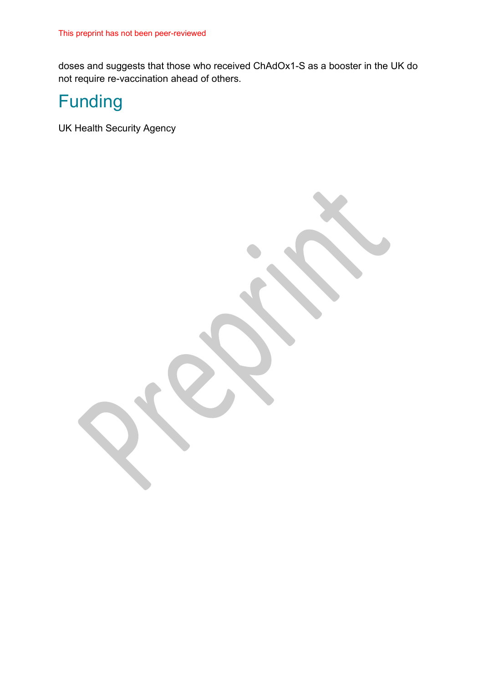doses and suggests that those who received ChAdOx1-S as a booster in the UK do not require re-vaccination ahead of others.

## Funding

UK Health Security Agency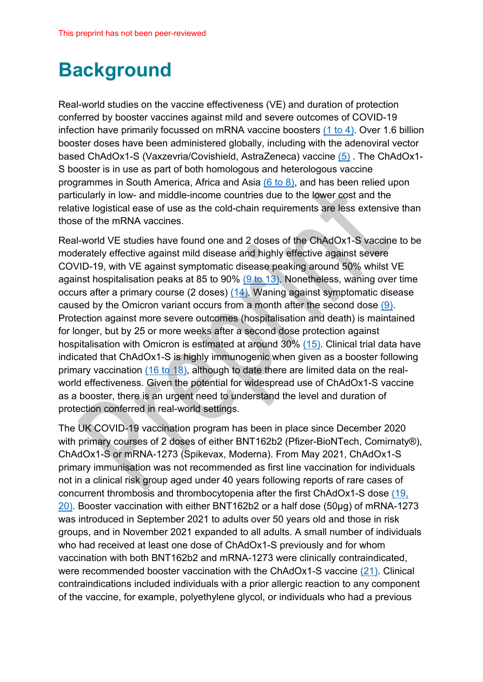# **Background**

Real-world studies on the vaccine effectiveness (VE) and duration of protection conferred by booster vaccines against mild and severe outcomes of COVID-19 infection have primarily focussed on mRNA vaccine boosters (1 to 4). Over 1.6 billion booster doses have been administered globally, including with the adenoviral vector based ChAdOx1-S (Vaxzevria/Covishield, AstraZeneca) vaccine (5) . The ChAdOx1- S booster is in use as part of both homologous and heterologous vaccine programmes in South America, Africa and Asia (6 to 8), and has been relied upon particularly in low- and middle-income countries due to the lower cost and the relative logistical ease of use as the cold-chain requirements are less extensive than those of the mRNA vaccines.

Real-world VE studies have found one and 2 doses of the ChAdOx1-S vaccine to be moderately effective against mild disease and highly effective against severe COVID-19, with VE against symptomatic disease peaking around 50% whilst VE against hospitalisation peaks at 85 to 90% (9 to 13). Nonetheless, waning over time occurs after a primary course (2 doses) (14). Waning against symptomatic disease caused by the Omicron variant occurs from a month after the second dose (9). Protection against more severe outcomes (hospitalisation and death) is maintained for longer, but by 25 or more weeks after a second dose protection against hospitalisation with Omicron is estimated at around 30% (15). Clinical trial data have indicated that ChAdOx1-S is highly immunogenic when given as a booster following primary vaccination (16 to 18), although to date there are limited data on the realworld effectiveness. Given the potential for widespread use of ChAdOx1-S vaccine as a booster, there is an urgent need to understand the level and duration of protection conferred in real-world settings.

The UK COVID-19 vaccination program has been in place since December 2020 with primary courses of 2 doses of either BNT162b2 (Pfizer-BioNTech, Comirnaty®), ChAdOx1-S or mRNA-1273 (Spikevax, Moderna). From May 2021, ChAdOx1-S primary immunisation was not recommended as first line vaccination for individuals not in a clinical risk group aged under 40 years following reports of rare cases of concurrent thrombosis and thrombocytopenia after the first ChAdOx1-S dose (19, 20). Booster vaccination with either BNT162b2 or a half dose (50µg) of mRNA-1273 was introduced in September 2021 to adults over 50 years old and those in risk groups, and in November 2021 expanded to all adults. A small number of individuals who had received at least one dose of ChAdOx1-S previously and for whom vaccination with both BNT162b2 and mRNA-1273 were clinically contraindicated, were recommended booster vaccination with the ChAdOx1-S vaccine (21). Clinical contraindications included individuals with a prior allergic reaction to any component of the vaccine, for example, polyethylene glycol, or individuals who had a previous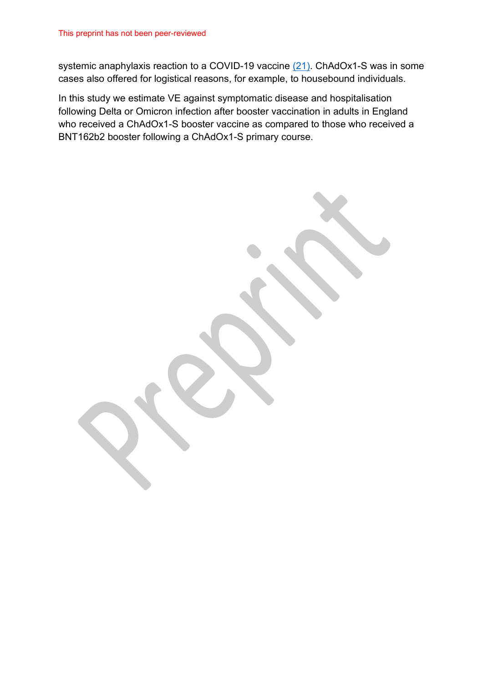systemic anaphylaxis reaction to a COVID-19 vaccine (21). ChAdOx1-S was in some cases also offered for logistical reasons, for example, to housebound individuals.

In this study we estimate VE against symptomatic disease and hospitalisation following Delta or Omicron infection after booster vaccination in adults in England who received a ChAdOx1-S booster vaccine as compared to those who received a BNT162b2 booster following a ChAdOx1-S primary course.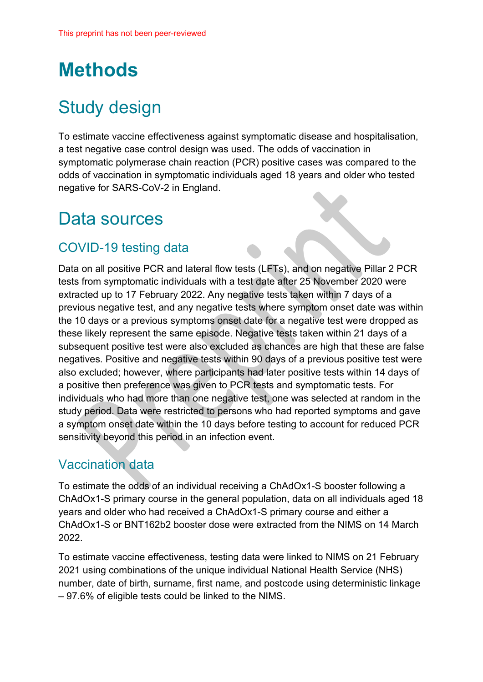# **Methods**

## Study design

To estimate vaccine effectiveness against symptomatic disease and hospitalisation, a test negative case control design was used. The odds of vaccination in symptomatic polymerase chain reaction (PCR) positive cases was compared to the odds of vaccination in symptomatic individuals aged 18 years and older who tested negative for SARS-CoV-2 in England.

### Data sources

#### COVID-19 testing data

Data on all positive PCR and lateral flow tests (LFTs), and on negative Pillar 2 PCR tests from symptomatic individuals with a test date after 25 November 2020 were extracted up to 17 February 2022. Any negative tests taken within 7 days of a previous negative test, and any negative tests where symptom onset date was within the 10 days or a previous symptoms onset date for a negative test were dropped as these likely represent the same episode. Negative tests taken within 21 days of a subsequent positive test were also excluded as chances are high that these are false negatives. Positive and negative tests within 90 days of a previous positive test were also excluded; however, where participants had later positive tests within 14 days of a positive then preference was given to PCR tests and symptomatic tests. For individuals who had more than one negative test, one was selected at random in the study period. Data were restricted to persons who had reported symptoms and gave a symptom onset date within the 10 days before testing to account for reduced PCR sensitivity beyond this period in an infection event.

#### Vaccination data

To estimate the odds of an individual receiving a ChAdOx1-S booster following a ChAdOx1-S primary course in the general population, data on all individuals aged 18 years and older who had received a ChAdOx1-S primary course and either a ChAdOx1-S or BNT162b2 booster dose were extracted from the NIMS on 14 March 2022.

To estimate vaccine effectiveness, testing data were linked to NIMS on 21 February 2021 using combinations of the unique individual National Health Service (NHS) number, date of birth, surname, first name, and postcode using deterministic linkage – 97.6% of eligible tests could be linked to the NIMS.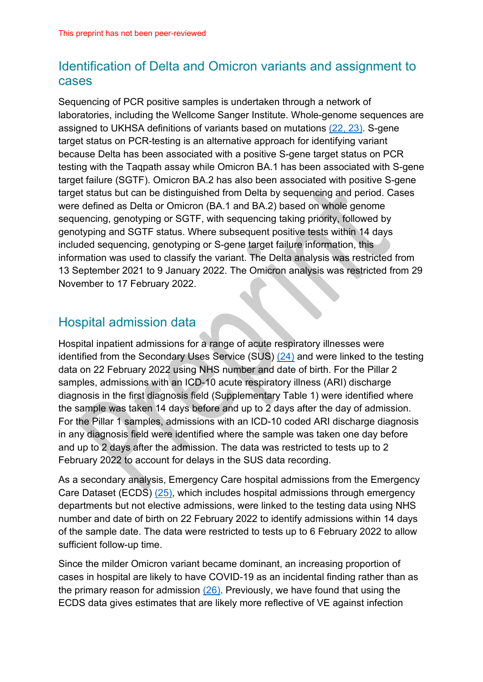#### Identification of Delta and Omicron variants and assignment to cases

Sequencing of PCR positive samples is undertaken through a network of laboratories, including the Wellcome Sanger Institute. Whole-genome sequences are assigned to UKHSA definitions of variants based on mutations (22, 23). S-gene target status on PCR-testing is an alternative approach for identifying variant because Delta has been associated with a positive S-gene target status on PCR testing with the Taqpath assay while Omicron BA.1 has been associated with S-gene target failure (SGTF). Omicron BA.2 has also been associated with positive S-gene target status but can be distinguished from Delta by sequencing and period. Cases were defined as Delta or Omicron (BA.1 and BA.2) based on whole genome sequencing, genotyping or SGTF, with sequencing taking priority, followed by genotyping and SGTF status. Where subsequent positive tests within 14 days included sequencing, genotyping or S-gene target failure information, this information was used to classify the variant. The Delta analysis was restricted from 13 September 2021 to 9 January 2022. The Omicron analysis was restricted from 29 November to 17 February 2022.

#### Hospital admission data

Hospital inpatient admissions for a range of acute respiratory illnesses were identified from the Secondary Uses Service (SUS) (24) and were linked to the testing data on 22 February 2022 using NHS number and date of birth. For the Pillar 2 samples, admissions with an ICD-10 acute respiratory illness (ARI) discharge diagnosis in the first diagnosis field (Supplementary Table 1) were identified where the sample was taken 14 days before and up to 2 days after the day of admission. For the Pillar 1 samples, admissions with an ICD-10 coded ARI discharge diagnosis in any diagnosis field were identified where the sample was taken one day before and up to 2 days after the admission. The data was restricted to tests up to 2 February 2022 to account for delays in the SUS data recording.

As a secondary analysis, Emergency Care hospital admissions from the Emergency Care Dataset (ECDS) (25), which includes hospital admissions through emergency departments but not elective admissions, were linked to the testing data using NHS number and date of birth on 22 February 2022 to identify admissions within 14 days of the sample date. The data were restricted to tests up to 6 February 2022 to allow sufficient follow-up time.

Since the milder Omicron variant became dominant, an increasing proportion of cases in hospital are likely to have COVID-19 as an incidental finding rather than as the primary reason for admission (26). Previously, we have found that using the ECDS data gives estimates that are likely more reflective of VE against infection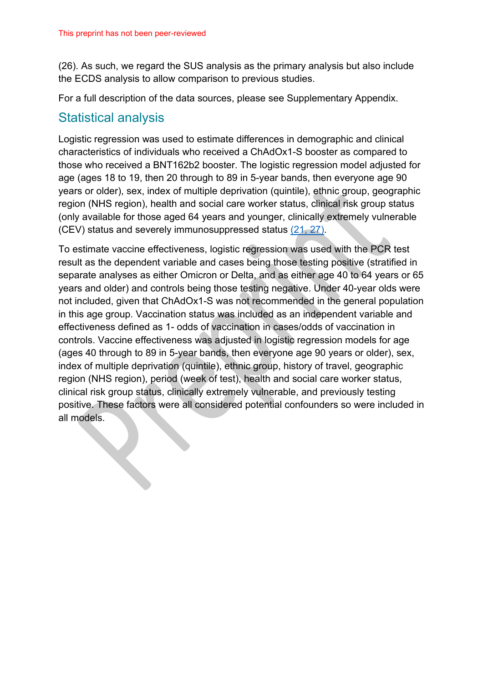(26). As such, we regard the SUS analysis as the primary analysis but also include the ECDS analysis to allow comparison to previous studies.

For a full description of the data sources, please see Supplementary Appendix.

#### Statistical analysis

Logistic regression was used to estimate differences in demographic and clinical characteristics of individuals who received a ChAdOx1-S booster as compared to those who received a BNT162b2 booster. The logistic regression model adjusted for age (ages 18 to 19, then 20 through to 89 in 5-year bands, then everyone age 90 years or older), sex, index of multiple deprivation (quintile), ethnic group, geographic region (NHS region), health and social care worker status, clinical risk group status (only available for those aged 64 years and younger, clinically extremely vulnerable (CEV) status and severely immunosuppressed status (21, 27).

To estimate vaccine effectiveness, logistic regression was used with the PCR test result as the dependent variable and cases being those testing positive (stratified in separate analyses as either Omicron or Delta, and as either age 40 to 64 years or 65 years and older) and controls being those testing negative. Under 40-year olds were not included, given that ChAdOx1-S was not recommended in the general population in this age group. Vaccination status was included as an independent variable and effectiveness defined as 1- odds of vaccination in cases/odds of vaccination in controls. Vaccine effectiveness was adjusted in logistic regression models for age (ages 40 through to 89 in 5-year bands, then everyone age 90 years or older), sex, index of multiple deprivation (quintile), ethnic group, history of travel, geographic region (NHS region), period (week of test), health and social care worker status, clinical risk group status, clinically extremely vulnerable, and previously testing positive. These factors were all considered potential confounders so were included in all models.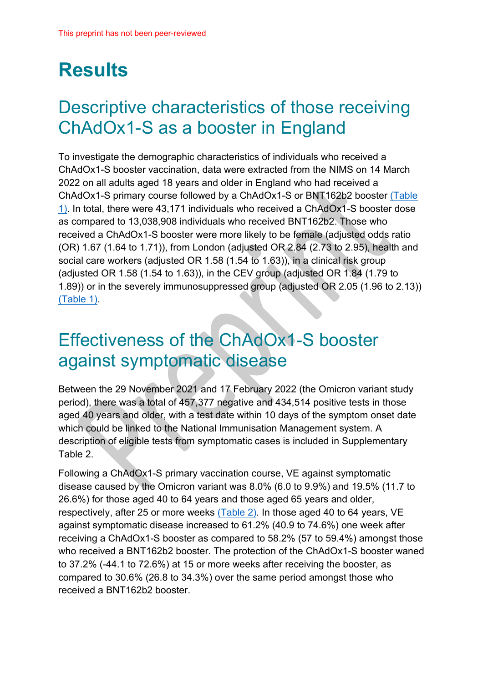# **Results**

## Descriptive characteristics of those receiving ChAdOx1-S as a booster in England

To investigate the demographic characteristics of individuals who received a ChAdOx1-S booster vaccination, data were extracted from the NIMS on 14 March 2022 on all adults aged 18 years and older in England who had received a ChAdOx1-S primary course followed by a ChAdOx1-S or BNT162b2 booster [\(Table](#page-15-0)  [1\).](#page-15-0) In total, there were 43,171 individuals who received a ChAdOx1-S booster dose as compared to 13,038,908 individuals who received BNT162b2. Those who received a ChAdOx1-S booster were more likely to be female (adjusted odds ratio (OR) 1.67 (1.64 to 1.71)), from London (adjusted OR 2.84 (2.73 to 2.95), health and social care workers (adjusted OR 1.58 (1.54 to 1.63)), in a clinical risk group (adjusted OR 1.58 (1.54 to 1.63)), in the CEV group (adjusted OR 1.84 (1.79 to 1.89)) or in the severely immunosuppressed group (adjusted OR 2.05 (1.96 to 2.13)) [\(Table 1\).](#page-15-0)

## Effectiveness of the ChAdOx1-S booster against symptomatic disease

Between the 29 November 2021 and 17 February 2022 (the Omicron variant study period), there was a total of 457,377 negative and 434,514 positive tests in those aged 40 years and older, with a test date within 10 days of the symptom onset date which could be linked to the National Immunisation Management system. A description of eligible tests from symptomatic cases is included in Supplementary Table 2.

Following a ChAdOx1-S primary vaccination course, VE against symptomatic disease caused by the Omicron variant was 8.0% (6.0 to 9.9%) and 19.5% (11.7 to 26.6%) for those aged 40 to 64 years and those aged 65 years and older, respectively, after 25 or more weeks [\(Table 2\).](#page-21-0) In those aged 40 to 64 years, VE against symptomatic disease increased to 61.2% (40.9 to 74.6%) one week after receiving a ChAdOx1-S booster as compared to 58.2% (57 to 59.4%) amongst those who received a BNT162b2 booster. The protection of the ChAdOx1-S booster waned to 37.2% (-44.1 to 72.6%) at 15 or more weeks after receiving the booster, as compared to 30.6% (26.8 to 34.3%) over the same period amongst those who received a BNT162b2 booster.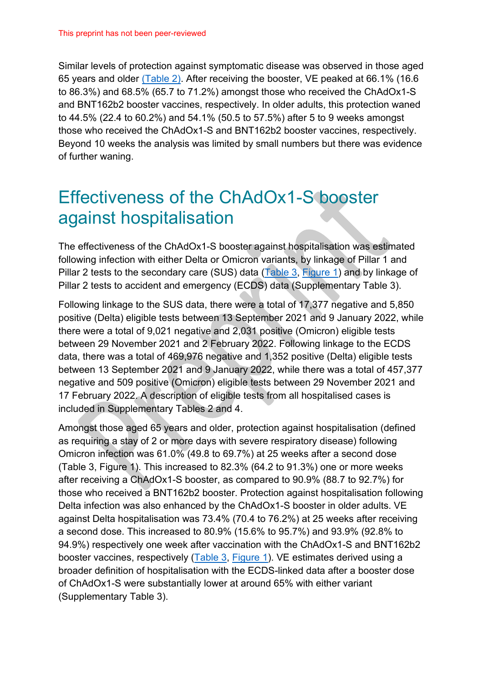Similar levels of protection against symptomatic disease was observed in those aged 65 years and older [\(Table 2\).](#page-21-0) After receiving the booster, VE peaked at 66.1% (16.6 to 86.3%) and 68.5% (65.7 to 71.2%) amongst those who received the ChAdOx1-S and BNT162b2 booster vaccines, respectively. In older adults, this protection waned to 44.5% (22.4 to 60.2%) and 54.1% (50.5 to 57.5%) after 5 to 9 weeks amongst those who received the ChAdOx1-S and BNT162b2 booster vaccines, respectively. Beyond 10 weeks the analysis was limited by small numbers but there was evidence of further waning.

### Effectiveness of the ChAdOx1-S booster against hospitalisation

The effectiveness of the ChAdOx1-S booster against hospitalisation was estimated following infection with either Delta or Omicron variants, by linkage of Pillar 1 and Pillar 2 tests to the secondary care (SUS) data [\(Table 3,](#page-24-0) [Figure 1\)](#page-25-0) and by linkage of Pillar 2 tests to accident and emergency (ECDS) data (Supplementary Table 3).

Following linkage to the SUS data, there were a total of 17,377 negative and 5,850 positive (Delta) eligible tests between 13 September 2021 and 9 January 2022, while there were a total of 9,021 negative and 2,031 positive (Omicron) eligible tests between 29 November 2021 and 2 February 2022. Following linkage to the ECDS data, there was a total of 469,976 negative and 1,352 positive (Delta) eligible tests between 13 September 2021 and 9 January 2022, while there was a total of 457,377 negative and 509 positive (Omicron) eligible tests between 29 November 2021 and 17 February 2022. A description of eligible tests from all hospitalised cases is included in Supplementary Tables 2 and 4.

Amongst those aged 65 years and older, protection against hospitalisation (defined as requiring a stay of 2 or more days with severe respiratory disease) following Omicron infection was 61.0% (49.8 to 69.7%) at 25 weeks after a second dose (Table 3, Figure 1). This increased to 82.3% (64.2 to 91.3%) one or more weeks after receiving a ChAdOx1-S booster, as compared to 90.9% (88.7 to 92.7%) for those who received a BNT162b2 booster. Protection against hospitalisation following Delta infection was also enhanced by the ChAdOx1-S booster in older adults. VE against Delta hospitalisation was 73.4% (70.4 to 76.2%) at 25 weeks after receiving a second dose. This increased to 80.9% (15.6% to 95.7%) and 93.9% (92.8% to 94.9%) respectively one week after vaccination with the ChAdOx1-S and BNT162b2 booster vaccines, respectively [\(Table 3,](#page-24-0) [Figure 1\)](#page-25-0). VE estimates derived using a broader definition of hospitalisation with the ECDS-linked data after a booster dose of ChAdOx1-S were substantially lower at around 65% with either variant (Supplementary Table 3).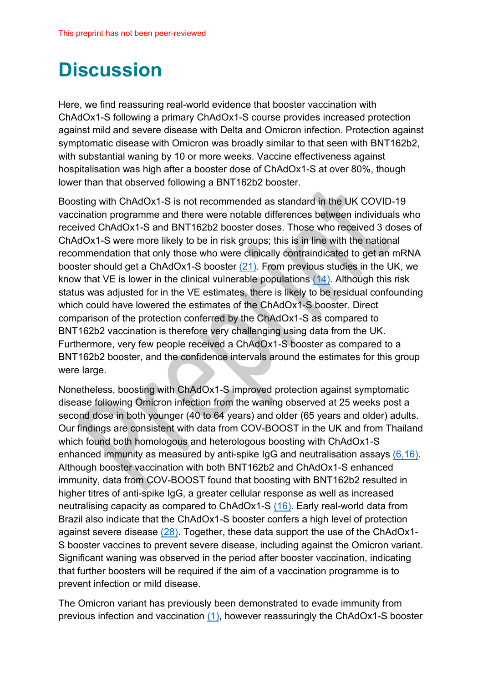# **Discussion**

Here, we find reassuring real-world evidence that booster vaccination with ChAdOx1-S following a primary ChAdOx1-S course provides increased protection against mild and severe disease with Delta and Omicron infection. Protection against symptomatic disease with Omicron was broadly similar to that seen with BNT162b2, with substantial waning by 10 or more weeks. Vaccine effectiveness against hospitalisation was high after a booster dose of ChAdOx1-S at over 80%, though lower than that observed following a BNT162b2 booster.

Boosting with ChAdOx1-S is not recommended as standard in the UK COVID-19 vaccination programme and there were notable differences between individuals who received ChAdOx1-S and BNT162b2 booster doses. Those who received 3 doses of ChAdOx1-S were more likely to be in risk groups; this is in line with the national recommendation that only those who were clinically contraindicated to get an mRNA booster should get a ChAdOx1-S booster (21). From previous studies in the UK, we know that VE is lower in the clinical vulnerable populations (14). Although this risk status was adjusted for in the VE estimates, there is likely to be residual confounding which could have lowered the estimates of the ChAdOx1-S booster. Direct comparison of the protection conferred by the ChAdOx1-S as compared to BNT162b2 vaccination is therefore very challenging using data from the UK. Furthermore, very few people received a ChAdOx1-S booster as compared to a BNT162b2 booster, and the confidence intervals around the estimates for this group were large.

Nonetheless, boosting with ChAdOx1-S improved protection against symptomatic disease following Omicron infection from the waning observed at 25 weeks post a second dose in both younger (40 to 64 years) and older (65 years and older) adults. Our findings are consistent with data from COV-BOOST in the UK and from Thailand which found both homologous and heterologous boosting with ChAdOx1-S enhanced immunity as measured by anti-spike IgG and neutralisation assays (6,16). Although booster vaccination with both BNT162b2 and ChAdOx1-S enhanced immunity, data from COV-BOOST found that boosting with BNT162b2 resulted in higher titres of anti-spike IgG, a greater cellular response as well as increased neutralising capacity as compared to ChAdOx1-S (16). Early real-world data from Brazil also indicate that the ChAdOx1-S booster confers a high level of protection against severe disease (28). Together, these data support the use of the ChAdOx1-S booster vaccines to prevent severe disease, including against the Omicron variant. Significant waning was observed in the period after booster vaccination, indicating that further boosters will be required if the aim of a vaccination programme is to prevent infection or mild disease.

The Omicron variant has previously been demonstrated to evade immunity from previous infection and vaccination (1), however reassuringly the ChAdOx1-S booster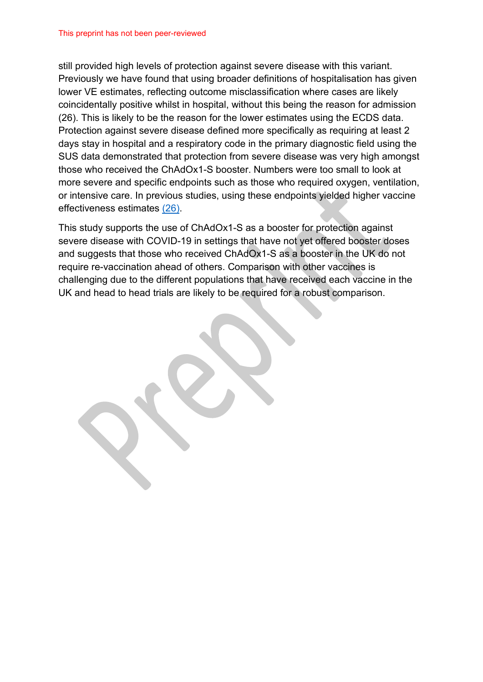still provided high levels of protection against severe disease with this variant. Previously we have found that using broader definitions of hospitalisation has given lower VE estimates, reflecting outcome misclassification where cases are likely coincidentally positive whilst in hospital, without this being the reason for admission (26). This is likely to be the reason for the lower estimates using the ECDS data. Protection against severe disease defined more specifically as requiring at least 2 days stay in hospital and a respiratory code in the primary diagnostic field using the SUS data demonstrated that protection from severe disease was very high amongst those who received the ChAdOx1-S booster. Numbers were too small to look at more severe and specific endpoints such as those who required oxygen, ventilation, or intensive care. In previous studies, using these endpoints yielded higher vaccine effectiveness estimates (26).

This study supports the use of ChAdOx1-S as a booster for protection against severe disease with COVID-19 in settings that have not yet offered booster doses and suggests that those who received ChAdOx1-S as a booster in the UK do not require re-vaccination ahead of others. Comparison with other vaccines is challenging due to the different populations that have received each vaccine in the UK and head to head trials are likely to be required for a robust comparison.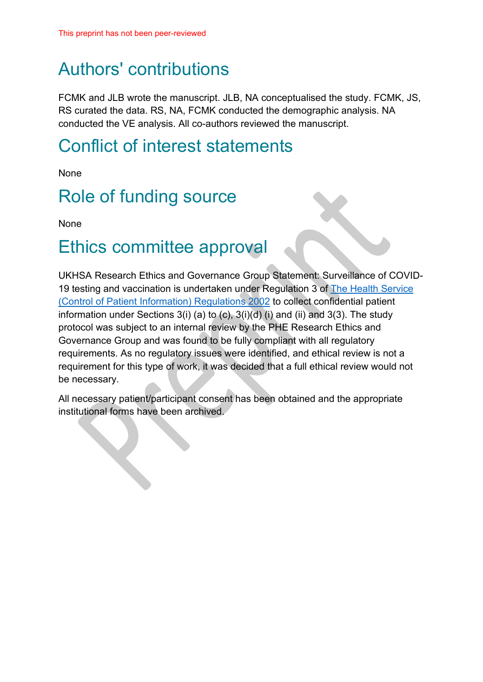## Authors' contributions

FCMK and JLB wrote the manuscript. JLB, NA conceptualised the study. FCMK, JS, RS curated the data. RS, NA, FCMK conducted the demographic analysis. NA conducted the VE analysis. All co-authors reviewed the manuscript.

### Conflict of interest statements

None

## Role of funding source

None

### Ethics committee approval

UKHSA Research Ethics and Governance Group Statement: Surveillance of COVID-19 testing and vaccination is undertaken under Regulation 3 of [The Health Service](https://www.legislation.gov.uk/uksi/2002/1438/regulation/3/made)  [\(Control of Patient Information\) Regulations 2002](https://www.legislation.gov.uk/uksi/2002/1438/regulation/3/made) to collect confidential patient information under Sections  $3(i)$  (a) to (c),  $3(i)(d)$  (i) and (ii) and  $3(3)$ . The study protocol was subject to an internal review by the PHE Research Ethics and Governance Group and was found to be fully compliant with all regulatory requirements. As no regulatory issues were identified, and ethical review is not a requirement for this type of work, it was decided that a full ethical review would not be necessary.

All necessary patient/participant consent has been obtained and the appropriate institutional forms have been archived.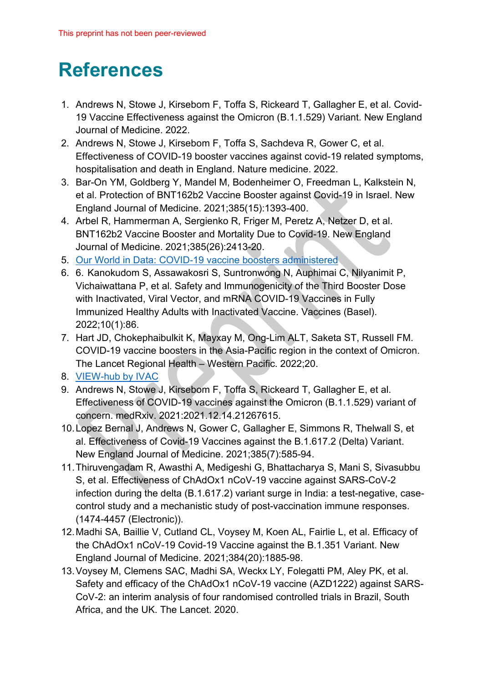# **References**

- 1. Andrews N, Stowe J, Kirsebom F, Toffa S, Rickeard T, Gallagher E, et al. Covid-19 Vaccine Effectiveness against the Omicron (B.1.1.529) Variant. New England Journal of Medicine. 2022.
- 2. Andrews N, Stowe J, Kirsebom F, Toffa S, Sachdeva R, Gower C, et al. Effectiveness of COVID-19 booster vaccines against covid-19 related symptoms, hospitalisation and death in England. Nature medicine. 2022.
- 3. Bar-On YM, Goldberg Y, Mandel M, Bodenheimer O, Freedman L, Kalkstein N, et al. Protection of BNT162b2 Vaccine Booster against Covid-19 in Israel. New England Journal of Medicine. 2021;385(15):1393-400.
- 4. Arbel R, Hammerman A, Sergienko R, Friger M, Peretz A, Netzer D, et al. BNT162b2 Vaccine Booster and Mortality Due to Covid-19. New England Journal of Medicine. 2021;385(26):2413-20.
- 5. [Our World in Data: COVID-19 vaccine boosters administered](https://ourworldindata.org/covid-vaccinations)
- 6. 6. Kanokudom S, Assawakosri S, Suntronwong N, Auphimai C, Nilyanimit P, Vichaiwattana P, et al. Safety and Immunogenicity of the Third Booster Dose with Inactivated, Viral Vector, and mRNA COVID-19 Vaccines in Fully Immunized Healthy Adults with Inactivated Vaccine. Vaccines (Basel). 2022;10(1):86.
- 7. Hart JD, Chokephaibulkit K, Mayxay M, Ong-Lim ALT, Saketa ST, Russell FM. COVID-19 vaccine boosters in the Asia-Pacific region in the context of Omicron. The Lancet Regional Health – Western Pacific. 2022;20.
- 8. [VIEW-hub by IVAC](https://view-hub.org/covid-19/)
- 9. Andrews N, Stowe J, Kirsebom F, Toffa S, Rickeard T, Gallagher E, et al. Effectiveness of COVID-19 vaccines against the Omicron (B.1.1.529) variant of concern. medRxiv. 2021:2021.12.14.21267615.
- 10.Lopez Bernal J, Andrews N, Gower C, Gallagher E, Simmons R, Thelwall S, et al. Effectiveness of Covid-19 Vaccines against the B.1.617.2 (Delta) Variant. New England Journal of Medicine. 2021;385(7):585-94.
- 11.Thiruvengadam R, Awasthi A, Medigeshi G, Bhattacharya S, Mani S, Sivasubbu S, et al. Effectiveness of ChAdOx1 nCoV-19 vaccine against SARS-CoV-2 infection during the delta (B.1.617.2) variant surge in India: a test-negative, casecontrol study and a mechanistic study of post-vaccination immune responses. (1474-4457 (Electronic)).
- 12.Madhi SA, Baillie V, Cutland CL, Voysey M, Koen AL, Fairlie L, et al. Efficacy of the ChAdOx1 nCoV-19 Covid-19 Vaccine against the B.1.351 Variant. New England Journal of Medicine. 2021;384(20):1885-98.
- 13.Voysey M, Clemens SAC, Madhi SA, Weckx LY, Folegatti PM, Aley PK, et al. Safety and efficacy of the ChAdOx1 nCoV-19 vaccine (AZD1222) against SARS-CoV-2: an interim analysis of four randomised controlled trials in Brazil, South Africa, and the UK. The Lancet. 2020.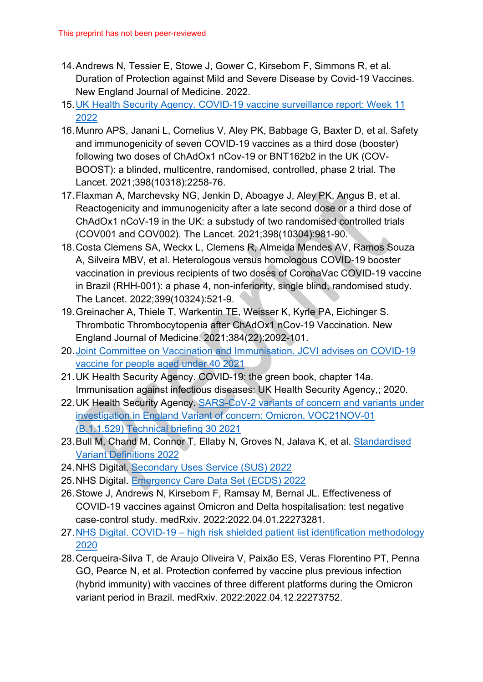- 14.Andrews N, Tessier E, Stowe J, Gower C, Kirsebom F, Simmons R, et al. Duration of Protection against Mild and Severe Disease by Covid-19 Vaccines. New England Journal of Medicine. 2022.
- 15[.UK Health Security Agency. COVID-19 vaccine surveillance report: Week 11](https://assets.publishing.service.gov.uk/government/uploads/system/uploads/attachment_data/file/1061532/Vaccine_surveillance_report_-_week_11.pdf)  [2022](https://assets.publishing.service.gov.uk/government/uploads/system/uploads/attachment_data/file/1061532/Vaccine_surveillance_report_-_week_11.pdf)
- 16.Munro APS, Janani L, Cornelius V, Aley PK, Babbage G, Baxter D, et al. Safety and immunogenicity of seven COVID-19 vaccines as a third dose (booster) following two doses of ChAdOx1 nCov-19 or BNT162b2 in the UK (COV-BOOST): a blinded, multicentre, randomised, controlled, phase 2 trial. The Lancet. 2021;398(10318):2258-76.
- 17.Flaxman A, Marchevsky NG, Jenkin D, Aboagye J, Aley PK, Angus B, et al. Reactogenicity and immunogenicity after a late second dose or a third dose of ChAdOx1 nCoV-19 in the UK: a substudy of two randomised controlled trials (COV001 and COV002). The Lancet. 2021;398(10304):981-90.
- 18.Costa Clemens SA, Weckx L, Clemens R, Almeida Mendes AV, Ramos Souza A, Silveira MBV, et al. Heterologous versus homologous COVID-19 booster vaccination in previous recipients of two doses of CoronaVac COVID-19 vaccine in Brazil (RHH-001): a phase 4, non-inferiority, single blind, randomised study. The Lancet. 2022;399(10324):521-9.
- 19.Greinacher A, Thiele T, Warkentin TE, Weisser K, Kyrle PA, Eichinger S. Thrombotic Thrombocytopenia after ChAdOx1 nCov-19 Vaccination. New England Journal of Medicine. 2021;384(22):2092-101.
- 20[.Joint Committee on Vaccination and Immunisation. JCVI advises on COVID-19](https://www.gov.uk/government/news/jcvi-advises-on-covid-19-vaccine-for-people-aged-under-40)  [vaccine for people aged under 40 2021](https://www.gov.uk/government/news/jcvi-advises-on-covid-19-vaccine-for-people-aged-under-40)
- 21.UK Health Security Agency. COVID-19: the green book, chapter 14a. Immunisation against infectious diseases: UK Health Security Agency,; 2020.
- 22.UK Health Security Agency. [SARS-CoV-2 variants of concern and variants under](https://assets.publishing.service.gov.uk/government/uploads/system/uploads/attachment_data/file/1038404/Technical_Briefing_30.pdf)  [investigation in England Variant of concern: Omicron, VOC21NOV-01](https://assets.publishing.service.gov.uk/government/uploads/system/uploads/attachment_data/file/1038404/Technical_Briefing_30.pdf)  [\(B.1.1.529\) Technical briefing 30 2021](https://assets.publishing.service.gov.uk/government/uploads/system/uploads/attachment_data/file/1038404/Technical_Briefing_30.pdf)
- 23. Bull M, Chand M, Connor T, Ellaby N, Groves N, Jalava K, et al. Standardised [Variant Definitions 2022](https://github.com/phe-genomics/variant_definitions)
- 24.NHS Digital. [Secondary Uses Service \(SUS\) 2022](https://digital.nhs.uk/services/secondary-uses-service-sus)
- 25.NHS Digital. [Emergency Care Data Set \(ECDS\) 2022](https://digital.nhs.uk/data-and-information/data-collections-and-data-sets/data-sets/emergency-care-data-set-ecds)
- 26.Stowe J, Andrews N, Kirsebom F, Ramsay M, Bernal JL. Effectiveness of COVID-19 vaccines against Omicron and Delta hospitalisation: test negative case-control study. medRxiv. 2022:2022.04.01.22273281.
- 27.NHS Digital. COVID-19 [high risk shielded patient list identification methodology](https://digital.nhs.uk/coronavirus/shielded-patient-list/methodology/rule-logic)  [2020](https://digital.nhs.uk/coronavirus/shielded-patient-list/methodology/rule-logic)
- 28.Cerqueira-Silva T, de Araujo Oliveira V, Paixão ES, Veras Florentino PT, Penna GO, Pearce N, et al. Protection conferred by vaccine plus previous infection (hybrid immunity) with vaccines of three different platforms during the Omicron variant period in Brazil. medRxiv. 2022:2022.04.12.22273752.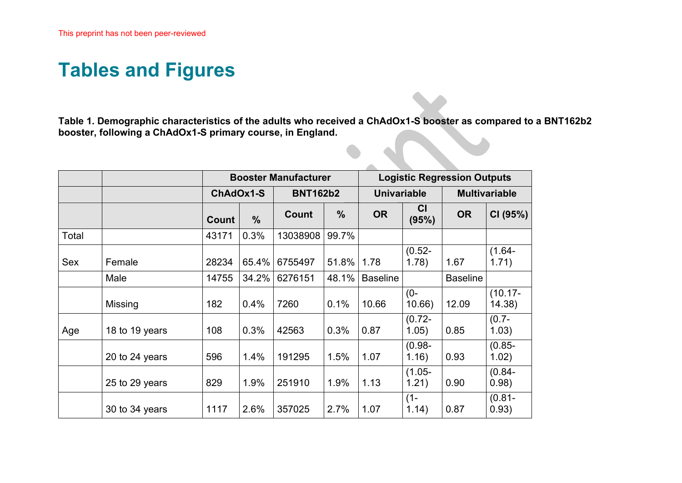## **Tables and Figures**

**Table 1. Demographic characteristics of the adults who received a ChAdOx1-S booster as compared to a BNT162b2 booster, following a ChAdOx1-S primary course, in England.**

<span id="page-15-0"></span>

|       |                |       |               | <b>Booster Manufacturer</b> |                 |                 | <b>Logistic Regression Outputs</b> |                 |                      |  |  |
|-------|----------------|-------|---------------|-----------------------------|-----------------|-----------------|------------------------------------|-----------------|----------------------|--|--|
|       |                |       | ChAdOx1-S     |                             | <b>BNT162b2</b> |                 | <b>Univariable</b>                 |                 | <b>Multivariable</b> |  |  |
|       |                | Count | $\frac{0}{0}$ | Count                       | $\frac{0}{0}$   | <b>OR</b>       | <b>CI</b><br>(95%)                 | <b>OR</b>       | CI (95%)             |  |  |
| Total |                | 43171 | 0.3%          | 13038908                    | 99.7%           |                 |                                    |                 |                      |  |  |
| Sex   | Female         | 28234 | 65.4%         | 6755497                     | 51.8%           | 1.78            | $(0.52 -$<br>1.78)                 | 1.67            | $(1.64 -$<br>1.71)   |  |  |
|       | Male           | 14755 | 34.2%         | 6276151                     | 48.1%           | <b>Baseline</b> |                                    | <b>Baseline</b> |                      |  |  |
|       | Missing        | 182   | 0.4%          | 7260                        | 0.1%            | 10.66           | $(0 -$<br>10.66)                   | 12.09           | $(10.17 -$<br>14.38) |  |  |
| Age   | 18 to 19 years | 108   | 0.3%          | 42563                       | 0.3%            | 0.87            | $(0.72 -$<br>1.05)                 | 0.85            | $(0.7 -$<br>1.03)    |  |  |
|       | 20 to 24 years | 596   | 1.4%          | 191295                      | 1.5%            | 1.07            | $(0.98 -$<br>1.16)                 | 0.93            | $(0.85 -$<br>1.02)   |  |  |
|       | 25 to 29 years | 829   | 1.9%          | 251910                      | 1.9%            | 1.13            | $(1.05 -$<br>1.21)                 | 0.90            | $(0.84 -$<br>0.98)   |  |  |
|       | 30 to 34 years | 1117  | 2.6%          | 357025                      | 2.7%            | 1.07            | $(1 -$<br>1.14)                    | 0.87            | $(0.81 -$<br>0.93)   |  |  |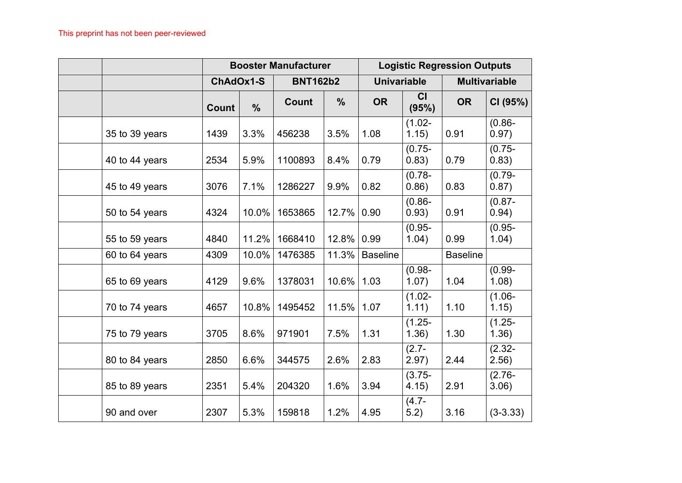|                |              |               | <b>Booster Manufacturer</b> |               | <b>Logistic Regression Outputs</b> |                    |                 |                      |  |
|----------------|--------------|---------------|-----------------------------|---------------|------------------------------------|--------------------|-----------------|----------------------|--|
|                | ChAdOx1-S    |               | <b>BNT162b2</b>             |               | <b>Univariable</b>                 |                    |                 | <b>Multivariable</b> |  |
|                | <b>Count</b> | $\frac{0}{0}$ | Count                       | $\frac{0}{0}$ | <b>OR</b>                          | CI<br>(95%)        | <b>OR</b>       | CI (95%)             |  |
| 35 to 39 years | 1439         | 3.3%          | 456238                      | 3.5%          | 1.08                               | $(1.02 -$<br>1.15) | 0.91            | $(0.86 -$<br>0.97)   |  |
| 40 to 44 years | 2534         | 5.9%          | 1100893                     | 8.4%          | 0.79                               | $(0.75 -$<br>0.83) | 0.79            | $(0.75 -$<br>0.83)   |  |
| 45 to 49 years | 3076         | 7.1%          | 1286227                     | 9.9%          | 0.82                               | $(0.78 -$<br>0.86) | 0.83            | $(0.79 -$<br>0.87)   |  |
| 50 to 54 years | 4324         | 10.0%         | 1653865                     | 12.7%         | 0.90                               | $(0.86 -$<br>0.93) | 0.91            | $(0.87 -$<br>0.94)   |  |
| 55 to 59 years | 4840         | 11.2%         | 1668410                     | 12.8%         | 0.99                               | $(0.95 -$<br>1.04) | 0.99            | $(0.95 -$<br>1.04)   |  |
| 60 to 64 years | 4309         | 10.0%         | 1476385                     | 11.3%         | <b>Baseline</b>                    |                    | <b>Baseline</b> |                      |  |
| 65 to 69 years | 4129         | 9.6%          | 1378031                     | 10.6%         | 1.03                               | $(0.98 -$<br>1.07) | 1.04            | $(0.99 -$<br>1.08)   |  |
| 70 to 74 years | 4657         | 10.8%         | 1495452                     | 11.5%         | 1.07                               | $(1.02 -$<br>1.11) | 1.10            | $(1.06 -$<br>1.15)   |  |
| 75 to 79 years | 3705         | 8.6%          | 971901                      | 7.5%          | 1.31                               | $(1.25 -$<br>1.36) | 1.30            | $(1.25 -$<br>1.36)   |  |
| 80 to 84 years | 2850         | 6.6%          | 344575                      | 2.6%          | 2.83                               | $(2.7 -$<br>2.97)  | 2.44            | $(2.32 -$<br>2.56)   |  |
| 85 to 89 years | 2351         | 5.4%          | 204320                      | 1.6%          | 3.94                               | $(3.75 -$<br>4.15) | 2.91            | $(2.76 -$<br>3.06)   |  |
| 90 and over    | 2307         | 5.3%          | 159818                      | 1.2%          | 4.95                               | $(4.7 -$<br>5.2)   | 3.16            | $(3-3.33)$           |  |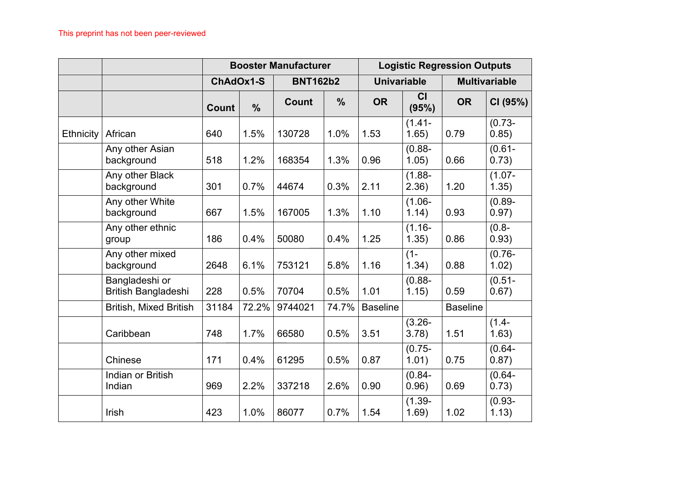|                  |                                       |              |               | <b>Booster Manufacturer</b> |               |                    |                    | <b>Logistic Regression Outputs</b> |                      |
|------------------|---------------------------------------|--------------|---------------|-----------------------------|---------------|--------------------|--------------------|------------------------------------|----------------------|
|                  |                                       | ChAdOx1-S    |               | <b>BNT162b2</b>             |               | <b>Univariable</b> |                    |                                    | <b>Multivariable</b> |
|                  |                                       | <b>Count</b> | $\frac{0}{0}$ | Count                       | $\frac{0}{0}$ | <b>OR</b>          | CI<br>(95%)        | <b>OR</b>                          | CI (95%)             |
| <b>Ethnicity</b> | African                               | 640          | 1.5%          | 130728                      | 1.0%          | 1.53               | $(1.41 -$<br>1.65) | 0.79                               | $(0.73 -$<br>0.85)   |
|                  | Any other Asian<br>background         | 518          | 1.2%          | 168354                      | 1.3%          | 0.96               | $(0.88 -$<br>1.05) | 0.66                               | $(0.61 -$<br>0.73)   |
|                  | Any other Black<br>background         | 301          | 0.7%          | 44674                       | 0.3%          | 2.11               | $(1.88 -$<br>2.36) | 1.20                               | $(1.07 -$<br>1.35)   |
|                  | Any other White<br>background         | 667          | 1.5%          | 167005                      | 1.3%          | 1.10               | $(1.06 -$<br>1.14) | 0.93                               | $(0.89 -$<br>0.97)   |
|                  | Any other ethnic<br>group             | 186          | 0.4%          | 50080                       | 0.4%          | 1.25               | $(1.16 -$<br>1.35) | 0.86                               | $-8.0$<br>0.93)      |
|                  | Any other mixed<br>background         | 2648         | 6.1%          | 753121                      | 5.8%          | 1.16               | $(1 -$<br>1.34)    | 0.88                               | $(0.76 -$<br>1.02)   |
|                  | Bangladeshi or<br>British Bangladeshi | 228          | 0.5%          | 70704                       | 0.5%          | 1.01               | $(0.88 -$<br>1.15) | 0.59                               | $(0.51 -$<br>0.67)   |
|                  | <b>British, Mixed British</b>         | 31184        | 72.2%         | 9744021                     | 74.7%         | <b>Baseline</b>    |                    | <b>Baseline</b>                    |                      |
|                  | Caribbean                             | 748          | 1.7%          | 66580                       | 0.5%          | 3.51               | $(3.26 -$<br>3.78) | 1.51                               | $(1.4 -$<br>1.63)    |
|                  | Chinese                               | 171          | 0.4%          | 61295                       | 0.5%          | 0.87               | $(0.75 -$<br>1.01) | 0.75                               | $(0.64 -$<br>0.87)   |
|                  | Indian or British<br>Indian           | 969          | 2.2%          | 337218                      | 2.6%          | 0.90               | $(0.84 -$<br>0.96) | 0.69                               | $(0.64 -$<br>0.73)   |
|                  | Irish                                 | 423          | 1.0%          | 86077                       | 0.7%          | 1.54               | $(1.39 -$<br>1.69) | 1.02                               | $(0.93 -$<br>1.13)   |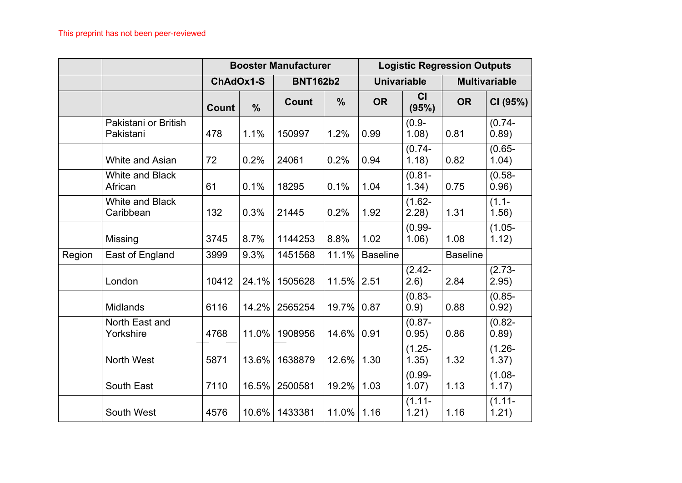|        |                                     |              |               | <b>Booster Manufacturer</b> |               | <b>Logistic Regression Outputs</b> |                    |                 |                      |  |
|--------|-------------------------------------|--------------|---------------|-----------------------------|---------------|------------------------------------|--------------------|-----------------|----------------------|--|
|        |                                     |              | ChAdOx1-S     | <b>BNT162b2</b>             |               | <b>Univariable</b>                 |                    |                 | <b>Multivariable</b> |  |
|        |                                     | <b>Count</b> | $\frac{0}{0}$ | Count                       | $\frac{0}{0}$ | <b>OR</b>                          | CI<br>(95%)        | <b>OR</b>       | CI (95%)             |  |
|        | Pakistani or British<br>Pakistani   | 478          | 1.1%          | 150997                      | 1.2%          | 0.99                               | $(0.9 -$<br>1.08)  | 0.81            | $(0.74 -$<br>0.89)   |  |
|        | <b>White and Asian</b>              | 72           | 0.2%          | 24061                       | 0.2%          | 0.94                               | $(0.74 -$<br>1.18) | 0.82            | $(0.65 -$<br>1.04)   |  |
|        | <b>White and Black</b><br>African   | 61           | 0.1%          | 18295                       | 0.1%          | 1.04                               | $(0.81 -$<br>1.34) | 0.75            | $(0.58 -$<br>0.96)   |  |
|        | <b>White and Black</b><br>Caribbean | 132          | 0.3%          | 21445                       | 0.2%          | 1.92                               | $(1.62 -$<br>2.28) | 1.31            | $(1.1 -$<br>1.56)    |  |
|        | <b>Missing</b>                      | 3745         | 8.7%          | 1144253                     | 8.8%          | 1.02                               | $(0.99 -$<br>1.06) | 1.08            | $(1.05 -$<br>1.12)   |  |
| Region | East of England                     | 3999         | 9.3%          | 1451568                     | 11.1%         | <b>Baseline</b>                    |                    | <b>Baseline</b> |                      |  |
|        | London                              | 10412        | 24.1%         | 1505628                     | 11.5%         | 2.51                               | $(2.42 -$<br>(2.6) | 2.84            | $(2.73 -$<br>2.95)   |  |
|        | <b>Midlands</b>                     | 6116         | 14.2%         | 2565254                     | 19.7%         | 0.87                               | $(0.83 -$<br>0.9)  | 0.88            | $(0.85 -$<br>0.92)   |  |
|        | North East and<br>Yorkshire         | 4768         | 11.0%         | 1908956                     | 14.6%         | 0.91                               | $(0.87 -$<br>0.95) | 0.86            | $(0.82 -$<br>0.89)   |  |
|        | North West                          | 5871         | 13.6%         | 1638879                     | 12.6%         | 1.30                               | $(1.25 -$<br>1.35) | 1.32            | $(1.26 -$<br>1.37)   |  |
|        | South East                          | 7110         | 16.5%         | 2500581                     | 19.2%         | 1.03                               | $(0.99 -$<br>1.07) | 1.13            | $(1.08 -$<br>1.17)   |  |
|        | South West                          | 4576         | 10.6%         | 1433381                     | 11.0%         | 1.16                               | $(1.11 -$<br>1.21) | 1.16            | $(1.11 -$<br>1.21)   |  |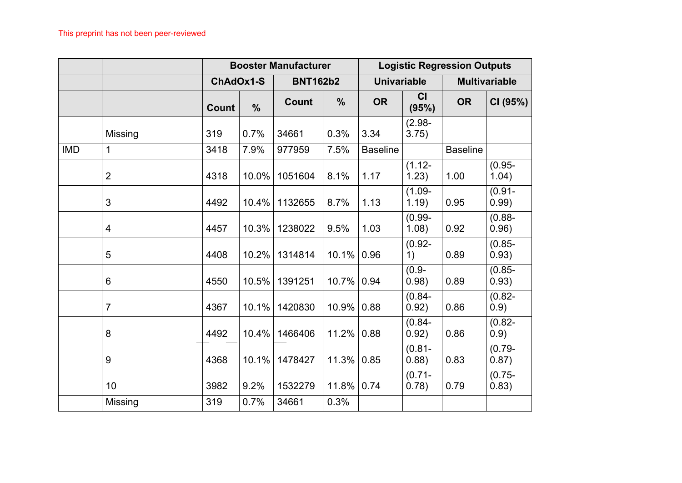|            |                |           |               | <b>Booster Manufacturer</b> |               | <b>Logistic Regression Outputs</b> |                    |                 |                      |  |
|------------|----------------|-----------|---------------|-----------------------------|---------------|------------------------------------|--------------------|-----------------|----------------------|--|
|            |                | ChAdOx1-S |               | <b>BNT162b2</b>             |               | <b>Univariable</b>                 |                    |                 | <b>Multivariable</b> |  |
|            |                | Count     | $\frac{0}{0}$ | Count                       | $\frac{0}{0}$ | <b>OR</b>                          | CI<br>(95%)        | <b>OR</b>       | CI (95%)             |  |
|            | Missing        | 319       | 0.7%          | 34661                       | 0.3%          | 3.34                               | $(2.98 -$<br>3.75) |                 |                      |  |
| <b>IMD</b> | 1              | 3418      | 7.9%          | 977959                      | 7.5%          | <b>Baseline</b>                    |                    | <b>Baseline</b> |                      |  |
|            | $\overline{2}$ | 4318      | 10.0%         | 1051604                     | 8.1%          | 1.17                               | $(1.12 -$<br>1.23) | 1.00            | $(0.95 -$<br>1.04)   |  |
|            | 3              | 4492      | 10.4%         | 1132655                     | 8.7%          | 1.13                               | $(1.09 -$<br>1.19) | 0.95            | $(0.91 -$<br>0.99)   |  |
|            | 4              | 4457      | 10.3%         | 1238022                     | 9.5%          | 1.03                               | $(0.99 -$<br>1.08) | 0.92            | $(0.88 -$<br>0.96)   |  |
|            | 5              | 4408      | 10.2%         | 1314814                     | 10.1%         | 0.96                               | $(0.92 -$<br>1)    | 0.89            | $(0.85 -$<br>0.93)   |  |
|            | 6              | 4550      | 10.5%         | 1391251                     | 10.7%         | 0.94                               | $(0.9 -$<br>0.98)  | 0.89            | $(0.85 -$<br>0.93)   |  |
|            | $\overline{7}$ | 4367      | 10.1%         | 1420830                     | 10.9%         | 0.88                               | $(0.84 -$<br>0.92) | 0.86            | $(0.82 -$<br>0.9)    |  |
|            | 8              | 4492      | 10.4%         | 1466406                     | 11.2%         | 0.88                               | $(0.84 -$<br>0.92) | 0.86            | $(0.82 -$<br>0.9)    |  |
|            | 9              | 4368      | 10.1%         | 1478427                     | 11.3%         | 0.85                               | $(0.81 -$<br>0.88) | 0.83            | $(0.79 -$<br>0.87)   |  |
|            | 10             | 3982      | 9.2%          | 1532279                     | 11.8%         | 0.74                               | $(0.71 -$<br>0.78) | 0.79            | $(0.75 -$<br>0.83)   |  |
|            | Missing        | 319       | 0.7%          | 34661                       | 0.3%          |                                    |                    |                 |                      |  |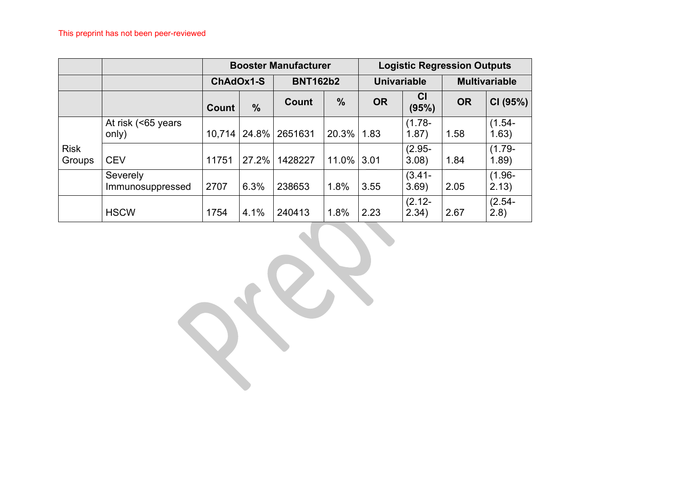|                       |                              |              | <b>Booster Manufacturer</b> |              |                 |                    | <b>Logistic Regression Outputs</b> |                      |                    |  |  |
|-----------------------|------------------------------|--------------|-----------------------------|--------------|-----------------|--------------------|------------------------------------|----------------------|--------------------|--|--|
|                       |                              |              | ChAdOx1-S                   |              | <b>BNT162b2</b> | <b>Univariable</b> |                                    | <b>Multivariable</b> |                    |  |  |
|                       |                              | <b>Count</b> | $\%$                        | <b>Count</b> | $\frac{0}{0}$   | <b>OR</b>          | <b>CI</b><br>(95%)                 | <b>OR</b>            | CI (95%)           |  |  |
|                       | At risk (<65 years<br>only)  | 10,714       | 24.8%                       | 2651631      | 20.3%           | 1.83               | $(1.78 -$<br>1.87)                 | 1.58                 | $(1.54 -$<br>1.63) |  |  |
| <b>Risk</b><br>Groups | <b>CEV</b>                   | 11751        | 27.2%                       | 1428227      | 11.0%           | 3.01               | $(2.95 -$<br>3.08)                 | 1.84                 | $(1.79 -$<br>1.89) |  |  |
|                       | Severely<br>Immunosuppressed | 2707         | 6.3%                        | 238653       | 1.8%            | 3.55               | $(3.41 -$<br>3.69)                 | 2.05                 | $(1.96 -$<br>2.13) |  |  |
|                       | <b>HSCW</b>                  | 1754         | 4.1%                        | 240413       | 1.8%            | 2.23               | $(2.12 -$<br>2.34)                 | 2.67                 | $(2.54 -$<br>(2.8) |  |  |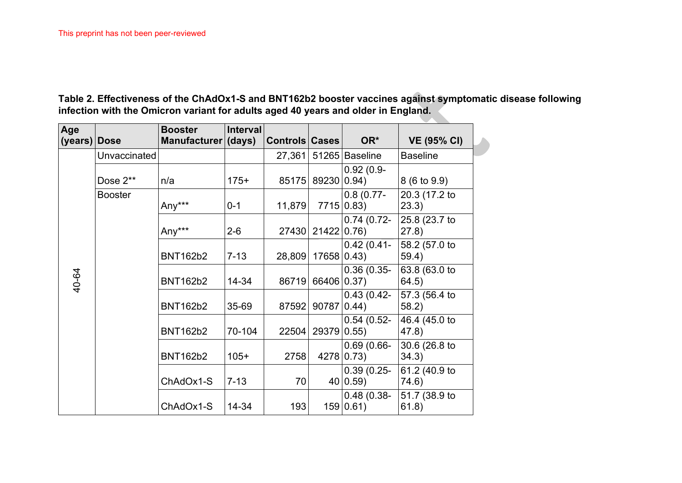**Table 2. Effectiveness of the ChAdOx1-S and BNT162b2 booster vaccines against symptomatic disease following infection with the Omicron variant for adults aged 40 years and older in England.**

<span id="page-21-0"></span>

| Age<br>(years) Dose |                | <b>Booster</b><br>Manufacturer (days) | <b>Interval</b> | Controls Cases |                     | OR*                             | <b>VE (95% CI)</b>      |
|---------------------|----------------|---------------------------------------|-----------------|----------------|---------------------|---------------------------------|-------------------------|
|                     | Unvaccinated   |                                       |                 |                |                     | 27,361 51265 Baseline           | <b>Baseline</b>         |
|                     | Dose 2**       | n/a                                   | $175+$          | 85175          | 89230 0.94)         | $0.92(0.9-$                     | $8(6 \text{ to } 9.9)$  |
|                     | <b>Booster</b> | Any***                                | $0 - 1$         | 11,879         |                     | 0.8(0.77)<br>$7715 0.83\rangle$ | 20.3 (17.2 to<br>(23.3) |
|                     |                | Any***                                | $2 - 6$         | 27430          | 21422 0.76          | $0.74(0.72-$                    | 25.8 (23.7 to<br>(27.8) |
|                     |                | <b>BNT162b2</b>                       | $7 - 13$        | 28,809         | 17658 0.43)         | $0.42(0.41 -$                   | 58.2 (57.0 to<br>59.4)  |
| 40-64               |                | <b>BNT162b2</b>                       | 14-34           | 86719          | 66406 0.37)         | $0.36(0.35 -$                   | 63.8 (63.0 to<br>64.5)  |
|                     |                | <b>BNT162b2</b>                       | 35-69           | 87592          | $90787 0.44\rangle$ | $0.43(0.42-$                    | 57.3 (56.4 to<br>58.2)  |
|                     |                | <b>BNT162b2</b>                       | 70-104          | 22504          | 29379 0.55)         | $0.54(0.52 -$                   | 46.4 (45.0 to<br>47.8)  |
|                     |                | <b>BNT162b2</b>                       | $105+$          | 2758           |                     | $0.69(0.66 -$<br>4278 0.73)     | 30.6 (26.8 to<br>34.3)  |
|                     |                | ChAdOx1-S                             | $7 - 13$        | 70             |                     | $0.39(0.25 -$<br>40 0.59        | 61.2 (40.9 to<br>74.6)  |
|                     |                | ChAdOx1-S                             | 14-34           | 193            |                     | $0.48(0.38-$<br>159 0.61        | 51.7 (38.9 to<br>61.8)  |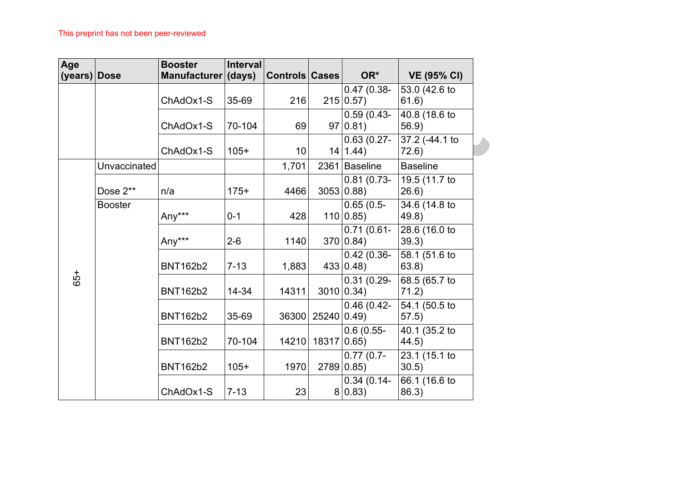| Age<br>(years) Dose |                | <b>Booster</b><br>Manufacturer (days) | <b>Interval</b> | Controls Cases |            | OR*                                | <b>VE (95% CI)</b>      |
|---------------------|----------------|---------------------------------------|-----------------|----------------|------------|------------------------------------|-------------------------|
|                     |                | ChAdOx1-S                             | 35-69           | 216            |            | $0.47(0.38 -$<br>$215 0.57\rangle$ | 53.0 (42.6 to<br>61.6)  |
|                     |                | ChAdOx1-S                             | 70-104          | 69             |            | $0.59(0.43-$<br>$97 0.81\rangle$   | 40.8 (18.6 to<br>56.9)  |
|                     |                | ChAdOx1-S                             | $105+$          | 10             |            | $0.63(0.27 -$<br>$14 1.44\rangle$  | 37.2 (-44.1 to<br>72.6) |
|                     | Unvaccinated   |                                       |                 | 1,701          |            | 2361 Baseline                      | <b>Baseline</b>         |
|                     | Dose 2**       | n/a                                   | $175+$          | 4466           |            | $0.81(0.73-$<br>3053 0.88          | 19.5 (11.7 to<br>26.6)  |
|                     | <b>Booster</b> | Any***                                | $0 - 1$         | 428            |            | $0.65(0.5-$<br>110 0.85            | 34.6 (14.8 to<br>49.8)  |
|                     |                | Any***                                | $2 - 6$         | 1140           |            | $0.71(0.61 -$<br>370 0.84          | 28.6 (16.0 to<br>39.3)  |
|                     |                | <b>BNT162b2</b>                       | $7 - 13$        | 1,883          |            | $0.42(0.36 -$<br>433 0.48          | 58.1 (51.6 to<br>63.8)  |
| 65+                 |                | <b>BNT162b2</b>                       | 14-34           | 14311          |            | $0.31(0.29 -$<br>3010 0.34)        | 68.5 (65.7 to<br>71.2)  |
|                     |                | <b>BNT162b2</b>                       | 35-69           | 36300          | 25240 0.49 | $0.46(0.42 -$                      | 54.1 (50.5 to<br>57.5)  |
|                     |                | <b>BNT162b2</b>                       | 70-104          | 14210          | 18317      | $0.6(0.55 -$<br>0.65)              | 40.1 (35.2 to<br>44.5)  |
|                     |                | <b>BNT162b2</b>                       | $105+$          | 1970           |            | $0.77(0.7-$<br>2789 0.85)          | 23.1 (15.1 to<br>30.5)  |
|                     |                | ChAdOx1-S                             | $7 - 13$        | 23             |            | $0.34(0.14-$<br>$8 0.83\rangle$    | 66.1 (16.6 to<br>86.3)  |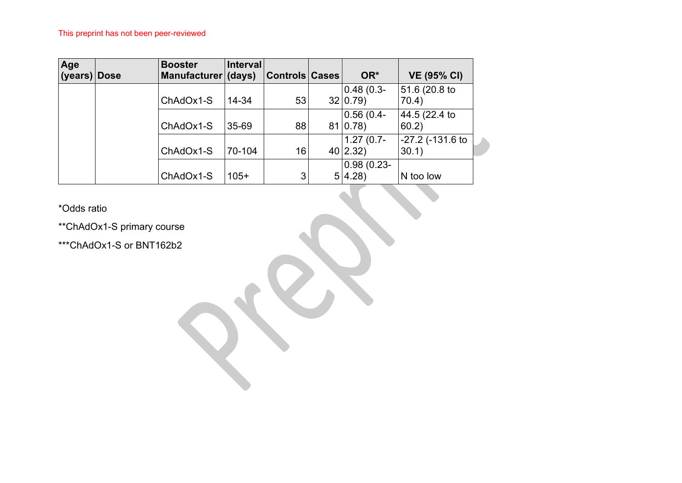| Age<br>(years) Dose | <b>Booster</b><br>Manufacturer (days) | Interval | Controls Cases | OR*                     | <b>VE (95% CI)</b>                   |
|---------------------|---------------------------------------|----------|----------------|-------------------------|--------------------------------------|
|                     | ChAdOx1-S                             | 14-34    | 53             | $0.48(0.3 -$<br>32 0.79 | 51.6 (20.8 to<br>70.4)               |
|                     | ChAdOx1-S                             | 35-69    | 88             | $0.56(0.4 -$<br>81 0.78 | 44.5 (22.4 to<br>60.2)               |
|                     | ChAdOx1-S                             | 70-104   | 16             | $1.27(0.7 -$<br>40 2.32 | $-27.2$ (-131.6 to<br>$ 30.1\rangle$ |
|                     | ChAdOx1-S                             | $105+$   | 3 <sub>l</sub> | $0.98(0.23 -$<br>5 4.28 | N too low                            |

\*Odds ratio

\*\*ChAdOx1-S primary course

\*\*\*ChAdOx1-S or BNT162b2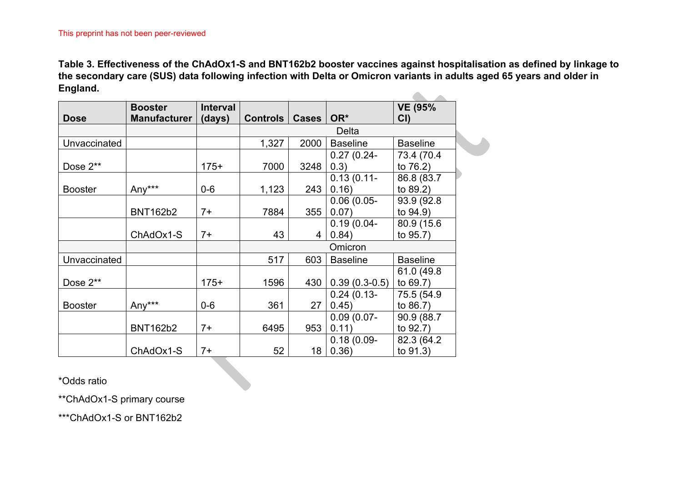**Table 3. Effectiveness of the ChAdOx1-S and BNT162b2 booster vaccines against hospitalisation as defined by linkage to the secondary care (SUS) data following infection with Delta or Omicron variants in adults aged 65 years and older in England.**  $\mathbf{A}$  and  $\mathbf{A}$ 

|                | <b>Booster</b>  | <b>Interval</b> |          |                |                 | <b>VE (95%</b>  |
|----------------|-----------------|-----------------|----------|----------------|-----------------|-----------------|
| <b>Dose</b>    | Manufacturer    | (days)          | Controls | Cases          | OR*             | CI              |
|                |                 |                 |          |                | Delta           |                 |
| Unvaccinated   |                 |                 | 1,327    | 2000           | <b>Baseline</b> | <b>Baseline</b> |
|                |                 |                 |          |                | $0.27(0.24 -$   | 73.4 (70.4)     |
| Dose 2**       |                 | $175+$          | 7000     | 3248           | 0.3)            | to 76.2)        |
|                |                 |                 |          |                | $0.13(0.11 -$   | 86.8 (83.7      |
| <b>Booster</b> | Any***          | $0-6$           | 1,123    | 243            | 0.16)           | to $89.2$ )     |
|                |                 |                 |          |                | $0.06(0.05 -$   | 93.9 (92.8)     |
|                | <b>BNT162b2</b> | $7+$            | 7884     | 355            | 0.07)           | to $94.9$ )     |
|                |                 |                 |          |                | $0.19(0.04 -$   | 80.9 (15.6)     |
|                | ChAdOx1-S       | $7+$            | 43       | $\overline{4}$ | 0.84)           | to 95.7)        |
|                |                 |                 |          |                | Omicron         |                 |
| Unvaccinated   |                 |                 | 517      | 603            | <b>Baseline</b> | <b>Baseline</b> |
|                |                 |                 |          |                |                 | 61.0 (49.8)     |
| Dose 2**       |                 | $175+$          | 1596     | 430            | $0.39(0.3-0.5)$ | to $69.7$ )     |
|                |                 |                 |          |                | $0.24(0.13-$    | 75.5 (54.9)     |
| <b>Booster</b> | Any***          | $0-6$           | 361      | 27             | 0.45)           | to $86.7$ )     |
|                |                 |                 |          |                | $0.09(0.07 -$   | 90.9 (88.7      |
|                | <b>BNT162b2</b> | $7+$            | 6495     | 953            | 0.11)           | to 92.7)        |
|                |                 |                 |          |                | $0.18(0.09 -$   | 82.3 (64.2)     |
|                | ChAdOx1-S       | $7+$            | 52       | 18             | 0.36)           | to 91.3)        |

<span id="page-24-0"></span>\*Odds ratio

\*\*ChAdOx1-S primary course

\*\*\*ChAdOx1-S or BNT162b2